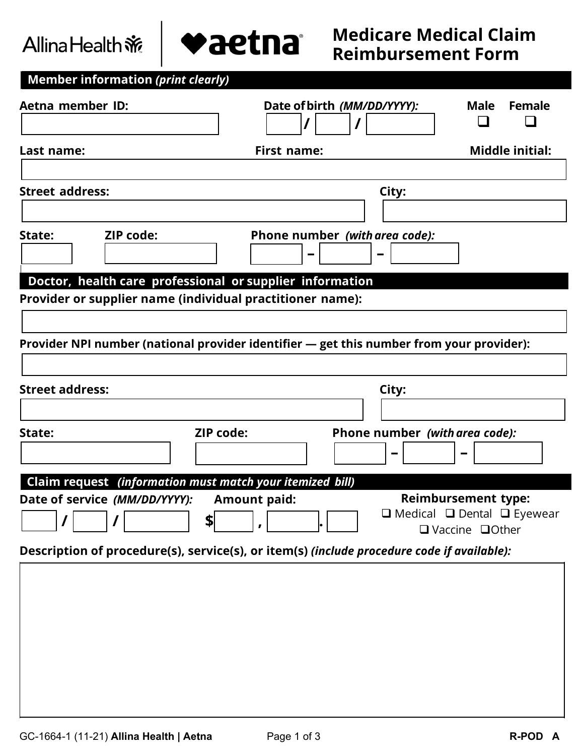# Allina Health ※

**Member information** *(print clearly)* 



| Aetna member ID:                                                                                                      | Date of birth (MM/DD/YYYY):                                                              | <b>Female</b><br>Male                                                                                    |
|-----------------------------------------------------------------------------------------------------------------------|------------------------------------------------------------------------------------------|----------------------------------------------------------------------------------------------------------|
| Last name:                                                                                                            | <b>First name:</b>                                                                       | <b>Middle initial:</b>                                                                                   |
| <b>Street address:</b>                                                                                                |                                                                                          | City:                                                                                                    |
| <b>ZIP code:</b><br>State:                                                                                            | Phone number (with area code):                                                           |                                                                                                          |
| Doctor, health care professional or supplier information<br>Provider or supplier name (individual practitioner name): |                                                                                          |                                                                                                          |
|                                                                                                                       | Provider NPI number (national provider identifier - get this number from your provider): |                                                                                                          |
|                                                                                                                       |                                                                                          |                                                                                                          |
| <b>Street address:</b>                                                                                                |                                                                                          | City:                                                                                                    |
|                                                                                                                       |                                                                                          |                                                                                                          |
| State:                                                                                                                | ZIP code:                                                                                | Phone number (with area code):                                                                           |
| Claim request (information must match your itemized bill)                                                             |                                                                                          |                                                                                                          |
| Date of service (MM/DD/YYYY):                                                                                         | <b>Amount paid:</b><br>\$                                                                | <b>Reimbursement type:</b><br>$\Box$ Medical $\Box$ Dental $\Box$ Eyewear<br>$\Box$ Vaccine $\Box$ Other |
| Description of procedure(s), service(s), or item(s) (include procedure code if available):                            |                                                                                          |                                                                                                          |
|                                                                                                                       |                                                                                          |                                                                                                          |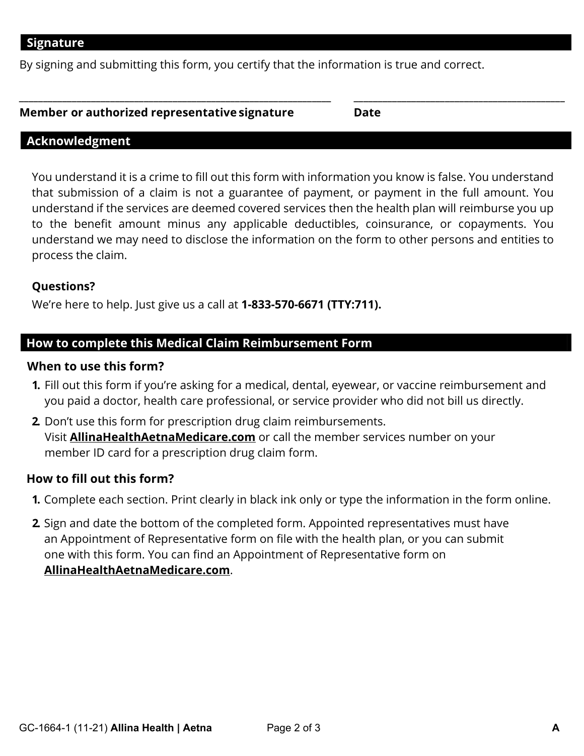By signing and submitting this form, you certify that the information is true and correct.

#### **Member or authorized representative signature Date**

#### **Acknowledgment**

You understand it is a crime to fill out this form with information you know is false. You understand that submission of a claim is not a guarantee of payment, or payment in the full amount. You understand if the services are deemed covered services then the health plan will reimburse you up to the benefit amount minus any applicable deductibles, coinsurance, or copayments. You understand we may need to disclose the information on the form to other persons and entities to process the claim.

**\_\_\_\_\_\_\_\_\_\_\_\_\_\_\_\_\_\_\_\_\_\_\_\_\_\_\_\_\_\_\_\_\_\_\_\_\_\_\_\_\_\_\_\_\_\_\_\_\_\_\_\_\_\_\_\_\_\_\_\_\_\_\_\_\_ \_\_\_\_\_\_\_\_\_\_\_\_\_\_\_\_\_\_\_\_\_\_\_\_\_\_\_\_\_\_\_\_\_\_\_\_\_\_\_\_\_\_\_\_** 

#### **Questions?**

We're here to help. Just give us a call at **1-833-570-6671 (TTY:711).**

#### **How to complete this Medical Claim Reimbursement Form**

#### **When to use this form?**

- **1.** Fill out this form if you're asking for a medical, dental, eyewear, or vaccine reimbursement and you paid a doctor, health care professional, or service provider who did not bill us directly.
- **2.** Don't use this form for prescription drug claim reimbursements. Visit **[AllinaHealthAetnaMedicare.com](http://www.allinahealthaetnamedicare.com)** or call the member services number on your member ID card for a prescription drug claim form.

#### **How to fill out this form?**

- **1.** Complete each section. Print clearly in black ink only or type the information in the form online.
- **2.** Sign and date the bottom of the completed form. Appointed representatives must have an Appointment of Representative form on file with the health plan, or you can submit one with this form. You can find an Appointment of Representative form on **[AllinaHealthAetnaMedicare.com](http://www.allinahealthaetnamedicare.com)**.